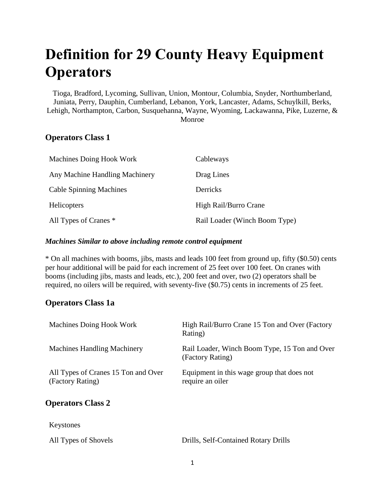# **Definition for 29 County Heavy Equipment Operators**

Tioga, Bradford, Lycoming, Sullivan, Union, Montour, Columbia, Snyder, Northumberland, Juniata, Perry, Dauphin, Cumberland, Lebanon, York, Lancaster, Adams, Schuylkill, Berks, Lehigh, Northampton, Carbon, Susquehanna, Wayne, Wyoming, Lackawanna, Pike, Luzerne, & Monroe

## **Operators Class 1**

| Machines Doing Hook Work       | Cableways                     |
|--------------------------------|-------------------------------|
| Any Machine Handling Machinery | Drag Lines                    |
| <b>Cable Spinning Machines</b> | Derricks                      |
| <b>Helicopters</b>             | High Rail/Burro Crane         |
| All Types of Cranes *          | Rail Loader (Winch Boom Type) |

#### *Machines Similar to above including remote control equipment*

\* On all machines with booms, jibs, masts and leads 100 feet from ground up, fifty (\$0.50) cents per hour additional will be paid for each increment of 25 feet over 100 feet. On cranes with booms (including jibs, masts and leads, etc.), 200 feet and over, two (2) operators shall be required, no oilers will be required, with seventy-five (\$0.75) cents in increments of 25 feet.

## **Operators Class 1a**

| Machines Doing Hook Work                                | High Rail/Burro Crane 15 Ton and Over (Factory<br>Rating)         |
|---------------------------------------------------------|-------------------------------------------------------------------|
| <b>Machines Handling Machinery</b>                      | Rail Loader, Winch Boom Type, 15 Ton and Over<br>(Factory Rating) |
| All Types of Cranes 15 Ton and Over<br>(Factory Rating) | Equipment in this wage group that does not<br>require an oiler    |
| <b>Operators Class 2</b>                                |                                                                   |
| Keystones                                               |                                                                   |
| All Types of Shovels                                    | Drills, Self-Contained Rotary Drills                              |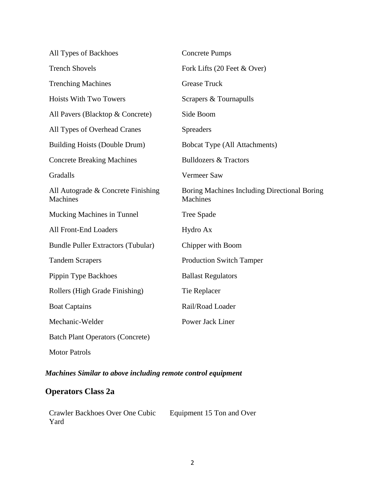| All Types of Backhoes                                 | <b>Concrete Pumps</b>                                    |
|-------------------------------------------------------|----------------------------------------------------------|
| <b>Trench Shovels</b>                                 | Fork Lifts (20 Feet & Over)                              |
| <b>Trenching Machines</b>                             | <b>Grease Truck</b>                                      |
| <b>Hoists With Two Towers</b>                         | Scrapers & Tournapulls                                   |
| All Pavers (Blacktop & Concrete)                      | Side Boom                                                |
| All Types of Overhead Cranes                          | <b>Spreaders</b>                                         |
| <b>Building Hoists (Double Drum)</b>                  | <b>Bobcat Type (All Attachments)</b>                     |
| <b>Concrete Breaking Machines</b>                     | <b>Bulldozers &amp; Tractors</b>                         |
| Gradalls                                              | Vermeer Saw                                              |
| All Autograde & Concrete Finishing<br><b>Machines</b> | Boring Machines Including Directional Boring<br>Machines |
| Mucking Machines in Tunnel                            | <b>Tree Spade</b>                                        |
| All Front-End Loaders                                 | Hydro Ax                                                 |
| <b>Bundle Puller Extractors (Tubular)</b>             | Chipper with Boom                                        |
| <b>Tandem Scrapers</b>                                | <b>Production Switch Tamper</b>                          |
| Pippin Type Backhoes                                  | <b>Ballast Regulators</b>                                |
| Rollers (High Grade Finishing)                        | Tie Replacer                                             |
| <b>Boat Captains</b>                                  | Rail/Road Loader                                         |
| Mechanic-Welder                                       | Power Jack Liner                                         |
| <b>Batch Plant Operators (Concrete)</b>               |                                                          |
| <b>Motor Patrols</b>                                  |                                                          |

## *Machines Similar to above including remote control equipment*

# **Operators Class 2a**

Crawler Backhoes Over One Cubic Yard Equipment 15 Ton and Over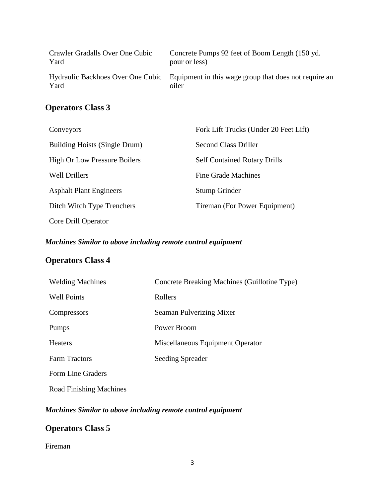| Crawler Gradalls Over One Cubic | Concrete Pumps 92 feet of Boom Length (150 yd.)                                                  |
|---------------------------------|--------------------------------------------------------------------------------------------------|
| Yard                            | pour or less)                                                                                    |
| Yard                            | Hydraulic Backhoes Over One Cubic Equipment in this wage group that does not require an<br>oiler |

## **Operators Class 3**

| Conveyors                           | Fork Lift Trucks (Under 20 Feet Lift) |
|-------------------------------------|---------------------------------------|
| Building Hoists (Single Drum)       | Second Class Driller                  |
| <b>High Or Low Pressure Boilers</b> | <b>Self Contained Rotary Drills</b>   |
| <b>Well Drillers</b>                | <b>Fine Grade Machines</b>            |
| <b>Asphalt Plant Engineers</b>      | Stump Grinder                         |
| Ditch Witch Type Trenchers          | Tireman (For Power Equipment)         |
| Core Drill Operator                 |                                       |

## *Machines Similar to above including remote control equipment*

# **Operators Class 4**

| <b>Welding Machines</b> | Concrete Breaking Machines (Guillotine Type) |
|-------------------------|----------------------------------------------|
| <b>Well Points</b>      | Rollers                                      |
| Compressors             | Seaman Pulverizing Mixer                     |
| Pumps                   | Power Broom                                  |
| <b>Heaters</b>          | Miscellaneous Equipment Operator             |
| <b>Farm Tractors</b>    | Seeding Spreader                             |
| Form Line Graders       |                                              |
| Road Finishing Machines |                                              |

## *Machines Similar to above including remote control equipment*

## **Operators Class 5**

## Fireman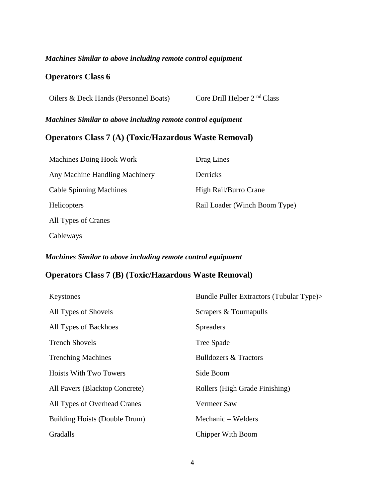#### *Machines Similar to above including remote control equipment*

## **Operators Class 6**

Oilers & Deck Hands (Personnel Boats) Core Drill Helper 2<sup>nd</sup> Class

## *Machines Similar to above including remote control equipment*

## **Operators Class 7 (A) (Toxic/Hazardous Waste Removal)**

| Machines Doing Hook Work       | Drag Lines                    |
|--------------------------------|-------------------------------|
| Any Machine Handling Machinery | Derricks                      |
| <b>Cable Spinning Machines</b> | High Rail/Burro Crane         |
| <b>Helicopters</b>             | Rail Loader (Winch Boom Type) |
| All Types of Cranes            |                               |
| Cableways                      |                               |

#### *Machines Similar to above including remote control equipment*

## **Operators Class 7 (B) (Toxic/Hazardous Waste Removal)**

| Keystones                      | Bundle Puller Extractors (Tubular Type)> |
|--------------------------------|------------------------------------------|
| All Types of Shovels           | Scrapers & Tournapulls                   |
| All Types of Backhoes          | <b>Spreaders</b>                         |
| <b>Trench Shovels</b>          | Tree Spade                               |
| <b>Trenching Machines</b>      | <b>Bulldozers &amp; Tractors</b>         |
| <b>Hoists With Two Towers</b>  | Side Boom                                |
| All Pavers (Blacktop Concrete) | Rollers (High Grade Finishing)           |
| All Types of Overhead Cranes   | Vermeer Saw                              |
| Building Hoists (Double Drum)  | Mechanic – Welders                       |
| Gradalls                       | Chipper With Boom                        |